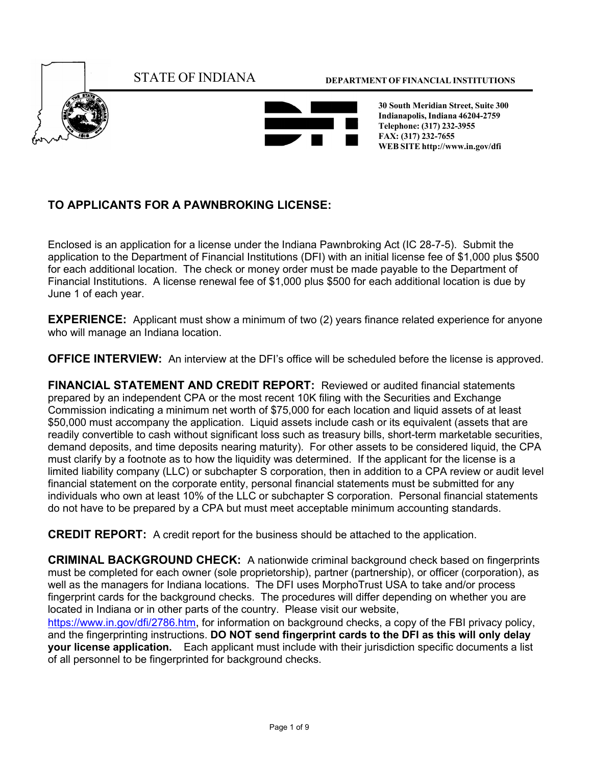

## **TO APPLICANTS FOR A PAWNBROKING LICENSE:**

Enclosed is an application for a license under the Indiana Pawnbroking Act (IC 28-7-5). Submit the application to the Department of Financial Institutions (DFI) with an initial license fee of \$1,000 plus \$500 for each additional location. The check or money order must be made payable to the Department of Financial Institutions. A license renewal fee of \$1,000 plus \$500 for each additional location is due by June 1 of each year.

**EXPERIENCE:** Applicant must show a minimum of two (2) years finance related experience for anyone who will manage an Indiana location.

**OFFICE INTERVIEW:** An interview at the DFI's office will be scheduled before the license is approved.

**FINANCIAL STATEMENT AND CREDIT REPORT:** Reviewed or audited financial statements prepared by an independent CPA or the most recent 10K filing with the Securities and Exchange Commission indicating a minimum net worth of \$75,000 for each location and liquid assets of at least \$50,000 must accompany the application. Liquid assets include cash or its equivalent (assets that are readily convertible to cash without significant loss such as treasury bills, short-term marketable securities, demand deposits, and time deposits nearing maturity). For other assets to be considered liquid, the CPA must clarify by a footnote as to how the liquidity was determined. If the applicant for the license is a limited liability company (LLC) or subchapter S corporation, then in addition to a CPA review or audit level financial statement on the corporate entity, personal financial statements must be submitted for any individuals who own at least 10% of the LLC or subchapter S corporation. Personal financial statements do not have to be prepared by a CPA but must meet acceptable minimum accounting standards.

**CREDIT REPORT:** A credit report for the business should be attached to the application.

**CRIMINAL BACKGROUND CHECK:** A nationwide criminal background check based on fingerprints must be completed for each owner (sole proprietorship), partner (partnership), or officer (corporation), as well as the managers for Indiana locations. The DFI uses MorphoTrust USA to take and/or process fingerprint cards for the background checks. The procedures will differ depending on whether you are located in Indiana or in other parts of the country. Please visit our website,

[https://www.in.gov/dfi/2786.htm,](https://www.in.gov/dfi/2786.htm) for information on background checks, a copy of the FBI privacy policy, and the fingerprinting instructions. **DO NOT send fingerprint cards to the DFI as this will only delay your license application.** Each applicant must include with their jurisdiction specific documents a list of all personnel to be fingerprinted for background checks.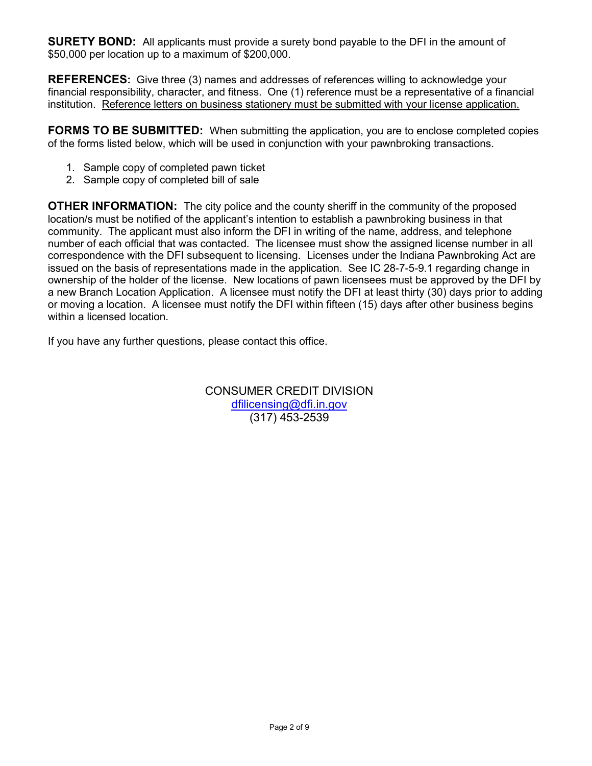**SURETY BOND:** All applicants must provide a surety bond payable to the DFI in the amount of \$50,000 per location up to a maximum of \$200,000.

**REFERENCES:** Give three (3) names and addresses of references willing to acknowledge your financial responsibility, character, and fitness. One (1) reference must be a representative of a financial institution. Reference letters on business stationery must be submitted with your license application.

**FORMS TO BE SUBMITTED:** When submitting the application, you are to enclose completed copies of the forms listed below, which will be used in conjunction with your pawnbroking transactions.

- 1. Sample copy of completed pawn ticket
- 2. Sample copy of completed bill of sale

**OTHER INFORMATION:** The city police and the county sheriff in the community of the proposed location/s must be notified of the applicant's intention to establish a pawnbroking business in that community. The applicant must also inform the DFI in writing of the name, address, and telephone number of each official that was contacted. The licensee must show the assigned license number in all correspondence with the DFI subsequent to licensing. Licenses under the Indiana Pawnbroking Act are issued on the basis of representations made in the application. See IC 28-7-5-9.1 regarding change in ownership of the holder of the license. New locations of pawn licensees must be approved by the DFI by a new Branch Location Application. A licensee must notify the DFI at least thirty (30) days prior to adding or moving a location. A licensee must notify the DFI within fifteen (15) days after other business begins within a licensed location.

If you have any further questions, please contact this office.

CONSUMER CREDIT DIVISION [dfilicensing@dfi.in.gov](mailto:dfilicensing@dfi.in.gov) (317) 453-2539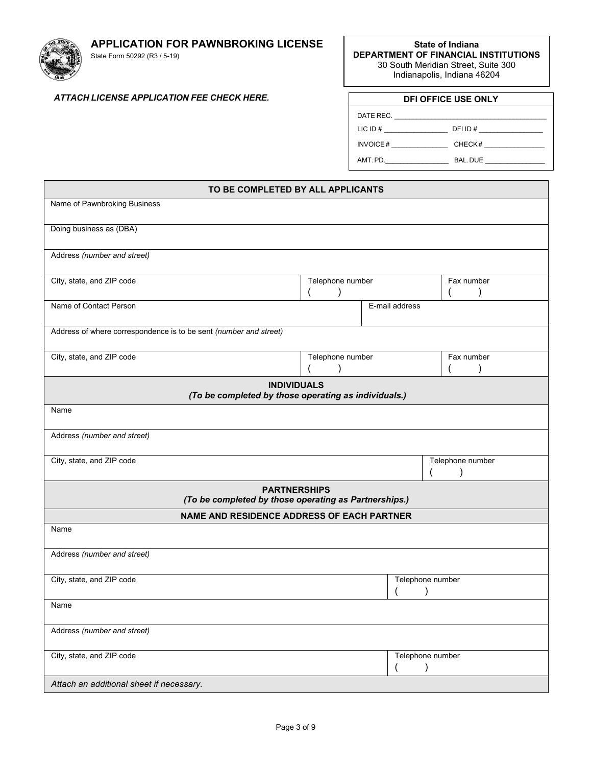**APPLICATION FOR PAWNBROKING LICENSE** 



State Form 50292 (R3 / 5-19)

**State of Indiana DEPARTMENT OF FINANCIAL INSTITUTIONS** 30 South Meridian Street, Suite 300 Indianapolis, Indiana 46204

## *ATTACH LICENSE APPLICATION FEE CHECK HERE.* **DFI OFFICE USE ONLY**

| <b>DFI OFFICE USE ONLY</b> |                     |  |
|----------------------------|---------------------|--|
|                            |                     |  |
| $LICID \#$                 | DFIID#              |  |
|                            | INVOICE#<br>CHECK#  |  |
|                            | AMT. PD.<br>BAL.DUE |  |

| TO BE COMPLETED BY ALL APPLICANTS                                            |                  |                  |  |
|------------------------------------------------------------------------------|------------------|------------------|--|
| Name of Pawnbroking Business                                                 |                  |                  |  |
| Doing business as (DBA)                                                      |                  |                  |  |
| Address (number and street)                                                  |                  |                  |  |
| City, state, and ZIP code                                                    | Telephone number |                  |  |
| Name of Contact Person                                                       |                  | E-mail address   |  |
| Address of where correspondence is to be sent (number and street)            |                  |                  |  |
| City, state, and ZIP code                                                    | Telephone number | Fax number       |  |
| <b>INDIVIDUALS</b><br>(To be completed by those operating as individuals.)   |                  |                  |  |
| Name                                                                         |                  |                  |  |
| Address (number and street)                                                  |                  |                  |  |
| City, state, and ZIP code                                                    |                  | Telephone number |  |
| <b>PARTNERSHIPS</b><br>(To be completed by those operating as Partnerships.) |                  |                  |  |
| <b>NAME AND RESIDENCE ADDRESS OF EACH PARTNER</b>                            |                  |                  |  |
| Name                                                                         |                  |                  |  |
| Address (number and street)                                                  |                  |                  |  |
| City, state, and ZIP code                                                    |                  | Telephone number |  |
| Name                                                                         |                  |                  |  |
| Address (number and street)                                                  |                  |                  |  |
| City, state, and ZIP code                                                    |                  | Telephone number |  |
| Attach an additional sheet if necessary.                                     |                  |                  |  |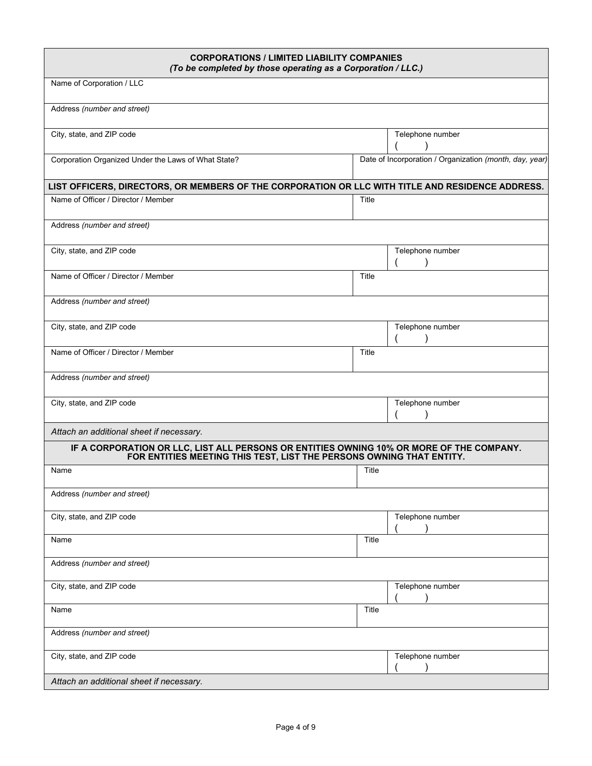| <b>CORPORATIONS / LIMITED LIABILITY COMPANIES</b><br>(To be completed by those operating as a Corporation / LLC.)                                                |       |                                                         |
|------------------------------------------------------------------------------------------------------------------------------------------------------------------|-------|---------------------------------------------------------|
| Name of Corporation / LLC                                                                                                                                        |       |                                                         |
| Address (number and street)                                                                                                                                      |       |                                                         |
| City, state, and ZIP code                                                                                                                                        |       | Telephone number                                        |
| Corporation Organized Under the Laws of What State?                                                                                                              |       | Date of Incorporation / Organization (month, day, year) |
| LIST OFFICERS, DIRECTORS, OR MEMBERS OF THE CORPORATION OR LLC WITH TITLE AND RESIDENCE ADDRESS.                                                                 |       |                                                         |
| Name of Officer / Director / Member                                                                                                                              | Title |                                                         |
| Address (number and street)                                                                                                                                      |       |                                                         |
| City, state, and ZIP code                                                                                                                                        |       | Telephone number                                        |
| Name of Officer / Director / Member                                                                                                                              | Title |                                                         |
| Address (number and street)                                                                                                                                      |       |                                                         |
| City, state, and ZIP code                                                                                                                                        |       | Telephone number                                        |
| Name of Officer / Director / Member                                                                                                                              | Title |                                                         |
| Address (number and street)                                                                                                                                      |       |                                                         |
| City, state, and ZIP code                                                                                                                                        |       | Telephone number                                        |
| Attach an additional sheet if necessary.                                                                                                                         |       |                                                         |
| IF A CORPORATION OR LLC, LIST ALL PERSONS OR ENTITIES OWNING 10% OR MORE OF THE COMPANY.<br>FOR ENTITIES MEETING THIS TEST, LIST THE PERSONS OWNING THAT ENTITY. |       |                                                         |
| Name                                                                                                                                                             | Title |                                                         |
| Address (number and street)                                                                                                                                      |       |                                                         |
| City, state, and ZIP code                                                                                                                                        |       | Telephone number                                        |
| Name                                                                                                                                                             | Title |                                                         |
| Address (number and street)                                                                                                                                      |       |                                                         |
| City, state, and ZIP code                                                                                                                                        |       | Telephone number                                        |
| Name                                                                                                                                                             | Title |                                                         |
| Address (number and street)                                                                                                                                      |       |                                                         |
| City, state, and ZIP code                                                                                                                                        |       | Telephone number                                        |
| Attach an additional sheet if necessary.                                                                                                                         |       |                                                         |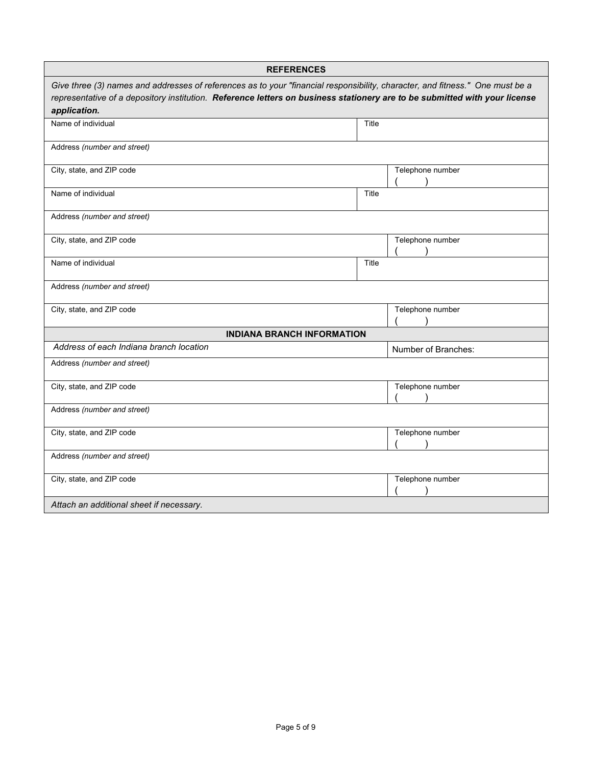|                                          | <b>REFERENCES</b>                                                                                                                                                                                                                                           |
|------------------------------------------|-------------------------------------------------------------------------------------------------------------------------------------------------------------------------------------------------------------------------------------------------------------|
| application.                             | Give three (3) names and addresses of references as to your "financial responsibility, character, and fitness." One must be a<br>representative of a depository institution. Reference letters on business stationery are to be submitted with your license |
| Name of individual                       | Title                                                                                                                                                                                                                                                       |
| Address (number and street)              |                                                                                                                                                                                                                                                             |
| City, state, and ZIP code                | Telephone number                                                                                                                                                                                                                                            |
| Name of individual                       | Title                                                                                                                                                                                                                                                       |
| Address (number and street)              |                                                                                                                                                                                                                                                             |
| City, state, and ZIP code                | Telephone number                                                                                                                                                                                                                                            |
| Name of individual                       | Title                                                                                                                                                                                                                                                       |
| Address (number and street)              |                                                                                                                                                                                                                                                             |
| City, state, and ZIP code                | Telephone number                                                                                                                                                                                                                                            |
|                                          | <b>INDIANA BRANCH INFORMATION</b>                                                                                                                                                                                                                           |
| Address of each Indiana branch location  | Number of Branches:                                                                                                                                                                                                                                         |
| Address (number and street)              |                                                                                                                                                                                                                                                             |
| City, state, and ZIP code                | Telephone number                                                                                                                                                                                                                                            |
| Address (number and street)              |                                                                                                                                                                                                                                                             |
| City, state, and ZIP code                | Telephone number                                                                                                                                                                                                                                            |
| Address (number and street)              |                                                                                                                                                                                                                                                             |
| City, state, and ZIP code                | Telephone number                                                                                                                                                                                                                                            |
| Attach an additional sheet if necessary. |                                                                                                                                                                                                                                                             |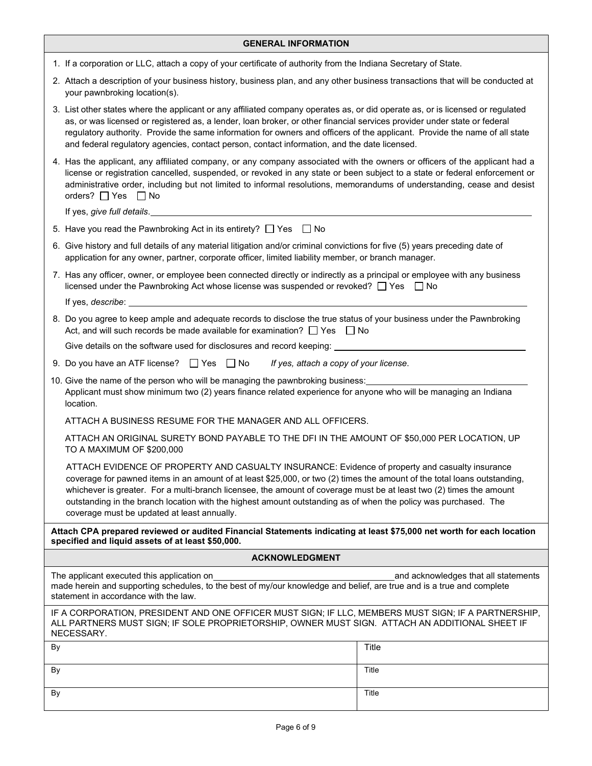| <b>GENERAL INFORMATION</b>                                                                                                                                                                                                                                                                                                                                                                                                                                                                                           |       |  |  |
|----------------------------------------------------------------------------------------------------------------------------------------------------------------------------------------------------------------------------------------------------------------------------------------------------------------------------------------------------------------------------------------------------------------------------------------------------------------------------------------------------------------------|-------|--|--|
| 1. If a corporation or LLC, attach a copy of your certificate of authority from the Indiana Secretary of State.                                                                                                                                                                                                                                                                                                                                                                                                      |       |  |  |
| 2. Attach a description of your business history, business plan, and any other business transactions that will be conducted at<br>your pawnbroking location(s).                                                                                                                                                                                                                                                                                                                                                      |       |  |  |
| 3. List other states where the applicant or any affiliated company operates as, or did operate as, or is licensed or regulated<br>as, or was licensed or registered as, a lender, loan broker, or other financial services provider under state or federal<br>regulatory authority. Provide the same information for owners and officers of the applicant. Provide the name of all state<br>and federal regulatory agencies, contact person, contact information, and the date licensed.                             |       |  |  |
| 4. Has the applicant, any affiliated company, or any company associated with the owners or officers of the applicant had a<br>license or registration cancelled, suspended, or revoked in any state or been subject to a state or federal enforcement or<br>administrative order, including but not limited to informal resolutions, memorandums of understanding, cease and desist<br>orders? $\Box$ Yes $\Box$ No                                                                                                  |       |  |  |
| If yes, give full details. The manufacturer of the state of the state of the state of the state of the state of the state of the state of the state of the state of the state of the state of the state of the state of the st                                                                                                                                                                                                                                                                                       |       |  |  |
| 5. Have you read the Pawnbroking Act in its entirety? $\Box$ Yes $\Box$ No                                                                                                                                                                                                                                                                                                                                                                                                                                           |       |  |  |
| 6. Give history and full details of any material litigation and/or criminal convictions for five (5) years preceding date of<br>application for any owner, partner, corporate officer, limited liability member, or branch manager.                                                                                                                                                                                                                                                                                  |       |  |  |
| 7. Has any officer, owner, or employee been connected directly or indirectly as a principal or employee with any business<br>licensed under the Pawnbroking Act whose license was suspended or revoked? $\Box$ Yes $\Box$ No                                                                                                                                                                                                                                                                                         |       |  |  |
|                                                                                                                                                                                                                                                                                                                                                                                                                                                                                                                      |       |  |  |
| 8. Do you agree to keep ample and adequate records to disclose the true status of your business under the Pawnbroking<br>Act, and will such records be made available for examination? $\Box$ Yes $\Box$ No                                                                                                                                                                                                                                                                                                          |       |  |  |
| Give details on the software used for disclosures and record keeping: _____________________________                                                                                                                                                                                                                                                                                                                                                                                                                  |       |  |  |
| 9. Do you have an ATF license? $\Box$ Yes $\Box$ No<br>If yes, attach a copy of your license.                                                                                                                                                                                                                                                                                                                                                                                                                        |       |  |  |
| 10. Give the name of the person who will be managing the pawnbroking business:<br>Applicant must show minimum two (2) years finance related experience for anyone who will be managing an Indiana<br>location.                                                                                                                                                                                                                                                                                                       |       |  |  |
| ATTACH A BUSINESS RESUME FOR THE MANAGER AND ALL OFFICERS.                                                                                                                                                                                                                                                                                                                                                                                                                                                           |       |  |  |
| ATTACH AN ORIGINAL SURETY BOND PAYABLE TO THE DFI IN THE AMOUNT OF \$50,000 PER LOCATION, UP<br>TO A MAXIMUM OF \$200,000                                                                                                                                                                                                                                                                                                                                                                                            |       |  |  |
| ATTACH EVIDENCE OF PROPERTY AND CASUALTY INSURANCE: Evidence of property and casualty insurance<br>coverage for pawned items in an amount of at least \$25,000, or two (2) times the amount of the total loans outstanding,<br>whichever is greater. For a multi-branch licensee, the amount of coverage must be at least two (2) times the amount<br>outstanding in the branch location with the highest amount outstanding as of when the policy was purchased. The<br>coverage must be updated at least annually. |       |  |  |
| Attach CPA prepared reviewed or audited Financial Statements indicating at least \$75,000 net worth for each location<br>specified and liquid assets of at least \$50,000.                                                                                                                                                                                                                                                                                                                                           |       |  |  |
| <b>ACKNOWLEDGMENT</b>                                                                                                                                                                                                                                                                                                                                                                                                                                                                                                |       |  |  |
| The applicant executed this application on<br>and acknowledges that all statements<br>made herein and supporting schedules, to the best of my/our knowledge and belief, are true and is a true and complete<br>statement in accordance with the law.                                                                                                                                                                                                                                                                 |       |  |  |
| IF A CORPORATION, PRESIDENT AND ONE OFFICER MUST SIGN; IF LLC, MEMBERS MUST SIGN; IF A PARTNERSHIP,<br>ALL PARTNERS MUST SIGN; IF SOLE PROPRIETORSHIP, OWNER MUST SIGN. ATTACH AN ADDITIONAL SHEET IF<br>NECESSARY.                                                                                                                                                                                                                                                                                                  |       |  |  |
| By                                                                                                                                                                                                                                                                                                                                                                                                                                                                                                                   | Title |  |  |
| By                                                                                                                                                                                                                                                                                                                                                                                                                                                                                                                   | Title |  |  |
| By                                                                                                                                                                                                                                                                                                                                                                                                                                                                                                                   | Title |  |  |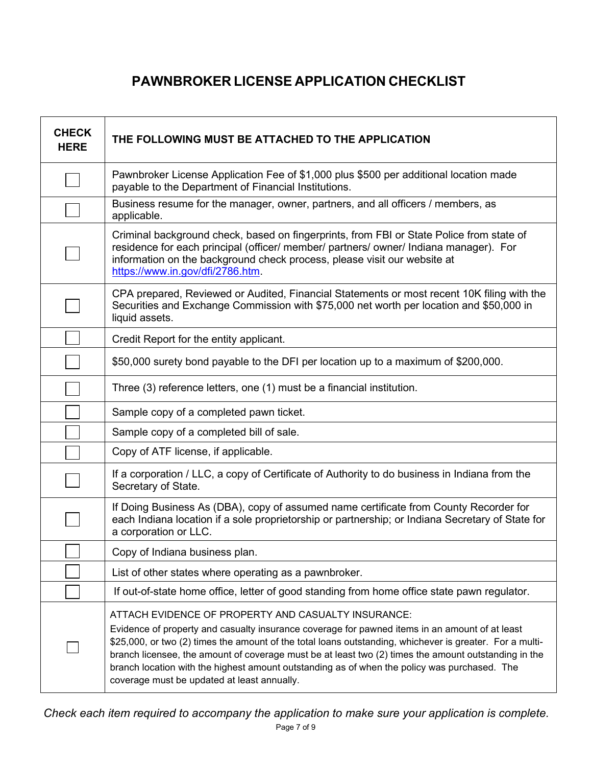## **PAWNBROKER LICENSE APPLICATION CHECKLIST**

| <b>CHECK</b><br><b>HERE</b> | THE FOLLOWING MUST BE ATTACHED TO THE APPLICATION                                                                                                                                                                                                                                                                                                                                                                                                                                                                        |
|-----------------------------|--------------------------------------------------------------------------------------------------------------------------------------------------------------------------------------------------------------------------------------------------------------------------------------------------------------------------------------------------------------------------------------------------------------------------------------------------------------------------------------------------------------------------|
|                             | Pawnbroker License Application Fee of \$1,000 plus \$500 per additional location made<br>payable to the Department of Financial Institutions.                                                                                                                                                                                                                                                                                                                                                                            |
|                             | Business resume for the manager, owner, partners, and all officers / members, as<br>applicable.                                                                                                                                                                                                                                                                                                                                                                                                                          |
|                             | Criminal background check, based on fingerprints, from FBI or State Police from state of<br>residence for each principal (officer/ member/ partners/ owner/ Indiana manager). For<br>information on the background check process, please visit our website at<br>https://www.in.gov/dfi/2786.htm.                                                                                                                                                                                                                        |
|                             | CPA prepared, Reviewed or Audited, Financial Statements or most recent 10K filing with the<br>Securities and Exchange Commission with \$75,000 net worth per location and \$50,000 in<br>liquid assets.                                                                                                                                                                                                                                                                                                                  |
|                             | Credit Report for the entity applicant.                                                                                                                                                                                                                                                                                                                                                                                                                                                                                  |
|                             | \$50,000 surety bond payable to the DFI per location up to a maximum of \$200,000.                                                                                                                                                                                                                                                                                                                                                                                                                                       |
|                             | Three (3) reference letters, one (1) must be a financial institution.                                                                                                                                                                                                                                                                                                                                                                                                                                                    |
|                             | Sample copy of a completed pawn ticket.                                                                                                                                                                                                                                                                                                                                                                                                                                                                                  |
|                             | Sample copy of a completed bill of sale.                                                                                                                                                                                                                                                                                                                                                                                                                                                                                 |
|                             | Copy of ATF license, if applicable.                                                                                                                                                                                                                                                                                                                                                                                                                                                                                      |
|                             | If a corporation / LLC, a copy of Certificate of Authority to do business in Indiana from the<br>Secretary of State.                                                                                                                                                                                                                                                                                                                                                                                                     |
|                             | If Doing Business As (DBA), copy of assumed name certificate from County Recorder for<br>each Indiana location if a sole proprietorship or partnership; or Indiana Secretary of State for<br>a corporation or LLC.                                                                                                                                                                                                                                                                                                       |
|                             | Copy of Indiana business plan.                                                                                                                                                                                                                                                                                                                                                                                                                                                                                           |
|                             | List of other states where operating as a pawnbroker.                                                                                                                                                                                                                                                                                                                                                                                                                                                                    |
|                             | If out-of-state home office, letter of good standing from home office state pawn regulator.                                                                                                                                                                                                                                                                                                                                                                                                                              |
|                             | ATTACH EVIDENCE OF PROPERTY AND CASUALTY INSURANCE:<br>Evidence of property and casualty insurance coverage for pawned items in an amount of at least<br>\$25,000, or two (2) times the amount of the total loans outstanding, whichever is greater. For a multi-<br>branch licensee, the amount of coverage must be at least two (2) times the amount outstanding in the<br>branch location with the highest amount outstanding as of when the policy was purchased. The<br>coverage must be updated at least annually. |

 *Check each item required to accompany the application to make sure your application is complete.*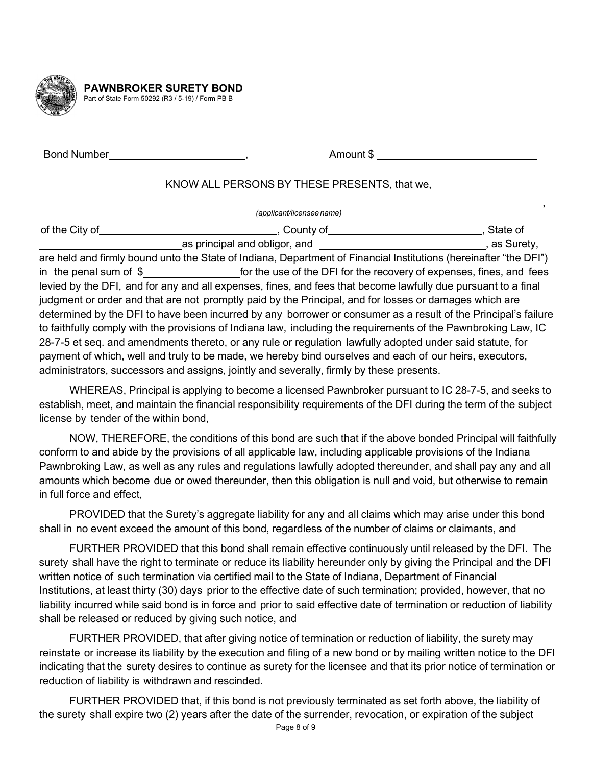

**PAWNBROKER SURETY BOND** Part of State Form 50292 (R3 / 5-19) / Form PB B

Bond Number , Amount \$

## KNOW ALL PERSONS BY THESE PRESENTS, that we,

|                | (applicant/licensee name)                                                                                         |              |
|----------------|-------------------------------------------------------------------------------------------------------------------|--------------|
| of the City of | County of                                                                                                         | State of     |
|                | as principal and obligor, and                                                                                     | , as Surety, |
|                | are held and firmly bound unto the State of Indiana, Department of Financial Institutions (hereinafter "the DFI") |              |
|                | in the penal sum of $\frac{1}{2}$ for the use of the DFI for the recovery of expenses, fines, and fees            |              |
|                | levied by the DFI, and for any and all expenses, fines, and fees that become lawfully due pursuant to a final     |              |
|                | judgment or order and that are not promptly paid by the Principal, and for losses or damages which are            |              |
|                | determined by the DFI to have been incurred by any borrower or consumer as a result of the Principal's failure    |              |
|                | to faithfully comply with the provisions of Indiana law, including the requirements of the Pawnbroking Law, IC    |              |
|                | 28-7-5 et seq. and amendments thereto, or any rule or regulation lawfully adopted under said statute, for         |              |
|                | payment of which, well and truly to be made, we hereby bind ourselves and each of our heirs, executors,           |              |
|                | administrators, successors and assigns, jointly and severally, firmly by these presents.                          |              |

WHEREAS, Principal is applying to become a licensed Pawnbroker pursuant to IC 28-7-5, and seeks to establish, meet, and maintain the financial responsibility requirements of the DFI during the term of the subject license by tender of the within bond,

NOW, THEREFORE, the conditions of this bond are such that if the above bonded Principal will faithfully conform to and abide by the provisions of all applicable law, including applicable provisions of the Indiana Pawnbroking Law, as well as any rules and regulations lawfully adopted thereunder, and shall pay any and all amounts which become due or owed thereunder, then this obligation is null and void, but otherwise to remain in full force and effect,

PROVIDED that the Surety's aggregate liability for any and all claims which may arise under this bond shall in no event exceed the amount of this bond, regardless of the number of claims or claimants, and

FURTHER PROVIDED that this bond shall remain effective continuously until released by the DFI. The surety shall have the right to terminate or reduce its liability hereunder only by giving the Principal and the DFI written notice of such termination via certified mail to the State of Indiana, Department of Financial Institutions, at least thirty (30) days prior to the effective date of such termination; provided, however, that no liability incurred while said bond is in force and prior to said effective date of termination or reduction of liability shall be released or reduced by giving such notice, and

FURTHER PROVIDED, that after giving notice of termination or reduction of liability, the surety may reinstate or increase its liability by the execution and filing of a new bond or by mailing written notice to the DFI indicating that the surety desires to continue as surety for the licensee and that its prior notice of termination or reduction of liability is withdrawn and rescinded.

FURTHER PROVIDED that, if this bond is not previously terminated as set forth above, the liability of the surety shall expire two (2) years after the date of the surrender, revocation, or expiration of the subject